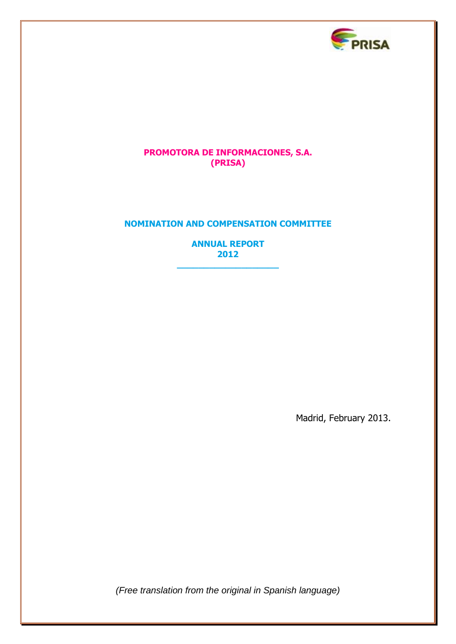

## **PROMOTORA DE INFORMACIONES, S.A. (PRISA)**

## **NOMINATION AND COMPENSATION COMMITTEE**

**ANNUAL REPORT 2012** 

**\_\_\_\_\_\_\_\_\_\_\_\_\_\_\_\_\_\_\_**

Madrid, February 2013.

*(Free translation from the original in Spanish language)*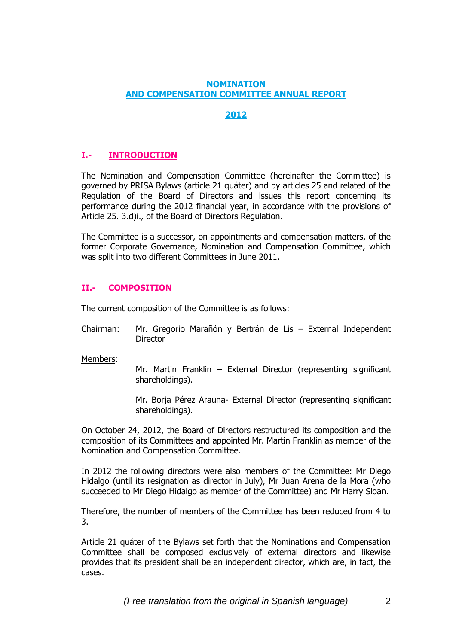#### **NOMINATION AND COMPENSATION COMMITTEE ANNUAL REPORT**

# **2012**

# **I.- INTRODUCTION**

The Nomination and Compensation Committee (hereinafter the Committee) is governed by PRISA Bylaws (article 21 quáter) and by articles 25 and related of the Regulation of the Board of Directors and issues this report concerning its performance during the 2012 financial year, in accordance with the provisions of Article 25. 3.d)i., of the Board of Directors Regulation.

The Committee is a successor, on appointments and compensation matters, of the former Corporate Governance, Nomination and Compensation Committee, which was split into two different Committees in June 2011.

## **II.- COMPOSITION**

The current composition of the Committee is as follows:

Chairman: Mr. Gregorio Marañón y Bertrán de Lis – External Independent **Director** 

Members:

Mr. Martin Franklin – External Director (representing significant shareholdings).

Mr. Borja Pérez Arauna- External Director (representing significant shareholdings).

On October 24, 2012, the Board of Directors restructured its composition and the composition of its Committees and appointed Mr. Martin Franklin as member of the Nomination and Compensation Committee.

In 2012 the following directors were also members of the Committee: Mr Diego Hidalgo (until its resignation as director in July), Mr Juan Arena de la Mora (who succeeded to Mr Diego Hidalgo as member of the Committee) and Mr Harry Sloan.

Therefore, the number of members of the Committee has been reduced from 4 to 3.

Article 21 quáter of the Bylaws set forth that the Nominations and Compensation Committee shall be composed exclusively of external directors and likewise provides that its president shall be an independent director, which are, in fact, the cases.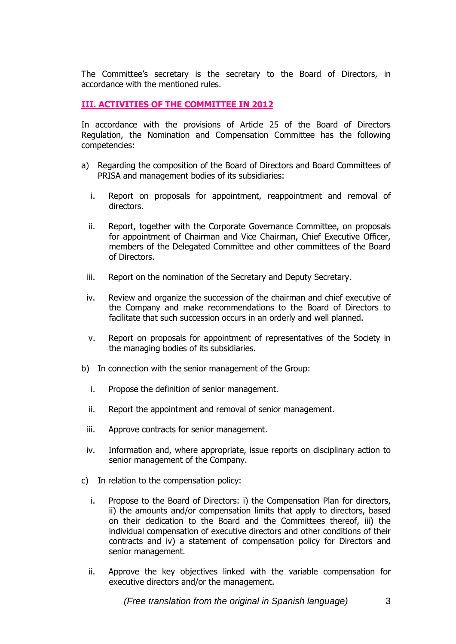The Committee's secretary is the secretary to the Board of Directors, in accordance with the mentioned rules.

#### **III. ACTIVITIES OF THE COMMITTEE IN 2012**

In accordance with the provisions of Article 25 of the Board of Directors Regulation, the Nomination and Compensation Committee has the following competencies:

- a) Regarding the composition of the Board of Directors and Board Committees of PRISA and management bodies of its subsidiaries:
	- i. Report on proposals for appointment, reappointment and removal of directors.
	- ii. Report, together with the Corporate Governance Committee, on proposals for appointment of Chairman and Vice Chairman, Chief Executive Officer, members of the Delegated Committee and other committees of the Board of Directors.
	- iii. Report on the nomination of the Secretary and Deputy Secretary.
	- iv. Review and organize the succession of the chairman and chief executive of the Company and make recommendations to the Board of Directors to facilitate that such succession occurs in an orderly and well planned.
	- v. Report on proposals for appointment of representatives of the Society in the managing bodies of its subsidiaries.
- b) In connection with the senior management of the Group:
	- i. Propose the definition of senior management.
	- ii. Report the appointment and removal of senior management.
	- iii. Approve contracts for senior management.
	- iv. Information and, where appropriate, issue reports on disciplinary action to senior management of the Company.
- c) In relation to the compensation policy:
	- i. Propose to the Board of Directors: i) the Compensation Plan for directors, ii) the amounts and/or compensation limits that apply to directors, based on their dedication to the Board and the Committees thereof, iii) the individual compensation of executive directors and other conditions of their contracts and iv) a statement of compensation policy for Directors and senior management.
	- ii. Approve the key objectives linked with the variable compensation for executive directors and/or the management.

*(Free translation from the original in Spanish language)* 3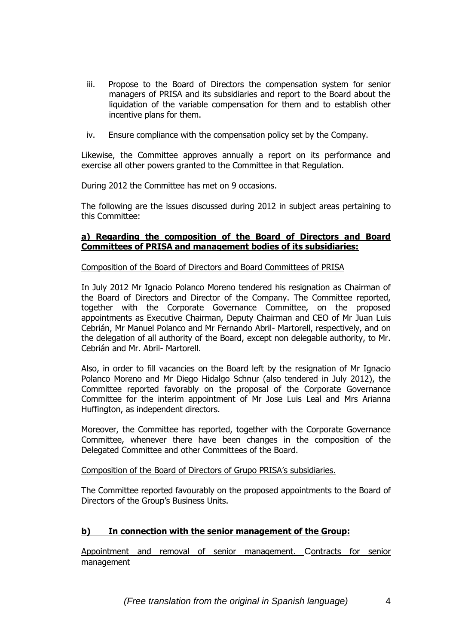- iii. Propose to the Board of Directors the compensation system for senior managers of PRISA and its subsidiaries and report to the Board about the liquidation of the variable compensation for them and to establish other incentive plans for them.
- iv. Ensure compliance with the compensation policy set by the Company.

Likewise, the Committee approves annually a report on its performance and exercise all other powers granted to the Committee in that Regulation.

During 2012 the Committee has met on 9 occasions.

The following are the issues discussed during 2012 in subject areas pertaining to this Committee:

### **a) Regarding the composition of the Board of Directors and Board Committees of PRISA and management bodies of its subsidiaries:**

Composition of the Board of Directors and Board Committees of PRISA

In July 2012 Mr Ignacio Polanco Moreno tendered his resignation as Chairman of the Board of Directors and Director of the Company. The Committee reported, together with the Corporate Governance Committee, on the proposed appointments as Executive Chairman, Deputy Chairman and CEO of Mr Juan Luis Cebrián, Mr Manuel Polanco and Mr Fernando Abril- Martorell, respectively, and on the delegation of all authority of the Board, except non delegable authority, to Mr. Cebrián and Mr. Abril- Martorell.

Also, in order to fill vacancies on the Board left by the resignation of Mr Ignacio Polanco Moreno and Mr Diego Hidalgo Schnur (also tendered in July 2012), the Committee reported favorably on the proposal of the Corporate Governance Committee for the interim appointment of Mr Jose Luis Leal and Mrs Arianna Huffington, as independent directors.

Moreover, the Committee has reported, together with the Corporate Governance Committee, whenever there have been changes in the composition of the Delegated Committee and other Committees of the Board.

Composition of the Board of Directors of Grupo PRISA's subsidiaries.

The Committee reported favourably on the proposed appointments to the Board of Directors of the Group's Business Units.

### **b) In connection with the senior management of the Group:**

Appointment and removal of senior management. Contracts for senior management

*(Free translation from the original in Spanish language)* 4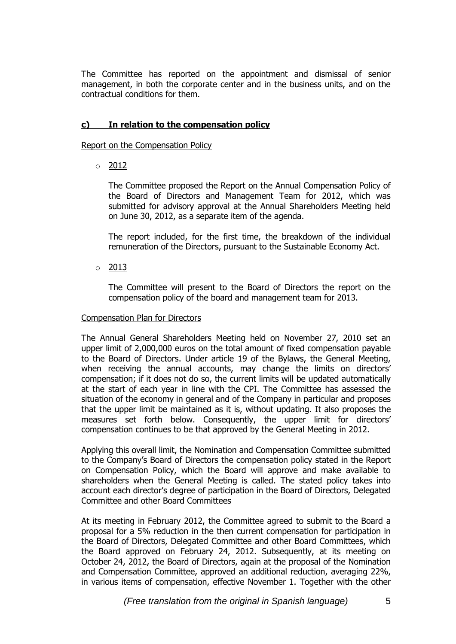The Committee has reported on the appointment and dismissal of senior management, in both the corporate center and in the business units, and on the contractual conditions for them.

### **c) In relation to the compensation policy**

Report on the Compensation Policy

 $\circ$  2012

The Committee proposed the Report on the Annual Compensation Policy of the Board of Directors and Management Team for 2012, which was submitted for advisory approval at the Annual Shareholders Meeting held on June 30, 2012, as a separate item of the agenda.

The report included, for the first time, the breakdown of the individual remuneration of the Directors, pursuant to the Sustainable Economy Act.

 $\circ$  2013

The Committee will present to the Board of Directors the report on the compensation policy of the board and management team for 2013.

### Compensation Plan for Directors

The Annual General Shareholders Meeting held on November 27, 2010 set an upper limit of 2,000,000 euros on the total amount of fixed compensation payable to the Board of Directors. Under article 19 of the Bylaws, the General Meeting, when receiving the annual accounts, may change the limits on directors' compensation; if it does not do so, the current limits will be updated automatically at the start of each year in line with the CPI. The Committee has assessed the situation of the economy in general and of the Company in particular and proposes that the upper limit be maintained as it is, without updating. It also proposes the measures set forth below. Consequently, the upper limit for directors' compensation continues to be that approved by the General Meeting in 2012.

Applying this overall limit, the Nomination and Compensation Committee submitted to the Company's Board of Directors the compensation policy stated in the Report on Compensation Policy, which the Board will approve and make available to shareholders when the General Meeting is called. The stated policy takes into account each director's degree of participation in the Board of Directors, Delegated Committee and other Board Committees

At its meeting in February 2012, the Committee agreed to submit to the Board a proposal for a 5% reduction in the then current compensation for participation in the Board of Directors, Delegated Committee and other Board Committees, which the Board approved on February 24, 2012. Subsequently, at its meeting on October 24, 2012, the Board of Directors, again at the proposal of the Nomination and Compensation Committee, approved an additional reduction, averaging 22%, in various items of compensation, effective November 1. Together with the other